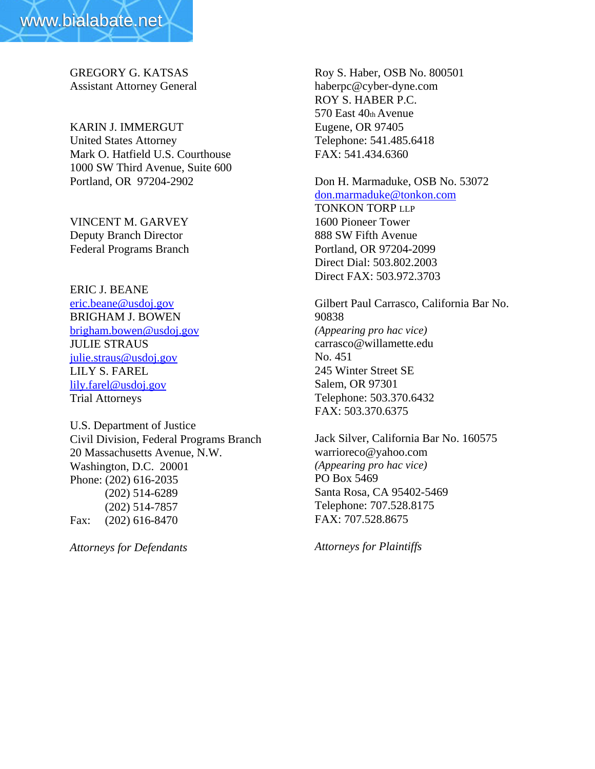GREGORY G. KATSAS Assistant Attorney General

KARIN J. IMMERGUT United States Attorney Mark O. Hatfield U.S. Courthouse 1000 SW Third Avenue, Suite 600 Portland, OR 97204-2902

VINCENT M. GARVEY Deputy Branch Director Federal Programs Branch

ERIC J. BEANE eric.beane@usdoj.gov BRIGHAM J. BOWEN brigham.bowen@usdoj.gov JULIE STRAUS julie.straus@usdoj.gov LILY S. FAREL lily.farel@usdoj.gov Trial Attorneys

U.S. Department of Justice Civil Division, Federal Programs Branch 20 Massachusetts Avenue, N.W. Washington, D.C. 20001 Phone: (202) 616-2035 (202) 514-6289 (202) 514-7857 Fax: (202) 616-8470

*Attorneys for Defendants*

Roy S. Haber, OSB No. 800501 haberpc@cyber-dyne.com ROY S. HABER P.C. 570 East 40th Avenue Eugene, OR 97405 Telephone: 541.485.6418 FAX: 541.434.6360

## Don H. Marmaduke, OSB No. 53072 don.marmaduke@tonkon.com

TONKON TORP LLP 1600 Pioneer Tower 888 SW Fifth Avenue Portland, OR 97204-2099 Direct Dial: 503.802.2003 Direct FAX: 503.972.3703

Gilbert Paul Carrasco, California Bar No. 90838 *(Appearing pro hac vice)* carrasco@willamette.edu No. 451 245 Winter Street SE Salem, OR 97301 Telephone: 503.370.6432 FAX: 503.370.6375

Jack Silver, California Bar No. 160575 warrioreco@yahoo.com *(Appearing pro hac vice)* PO Box 5469 Santa Rosa, CA 95402-5469 Telephone: 707.528.8175 FAX: 707.528.8675

*Attorneys for Plaintiffs*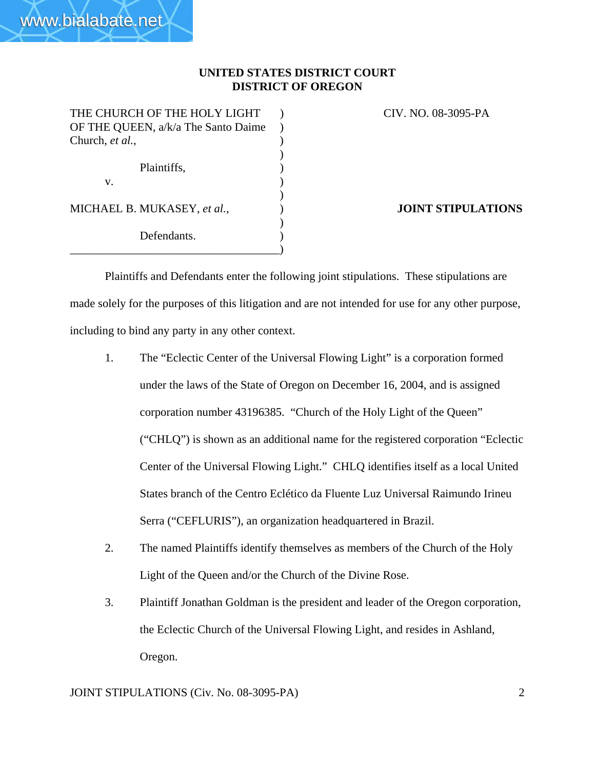)

)

)

THE CHURCH OF THE HOLY LIGHT ) CIV. NO. 08-3095-PA OF THE QUEEN, a/k/a The Santo Daime ) Church, *et al.*, Plaintiffs,  $\qquad \qquad$ )  $\mathbf v.$  ) MICHAEL B. MUKASEY, *et al.*,  $\qquad \qquad$ ) **JOINT STIPULATIONS** Defendants. \_\_\_\_\_\_\_\_\_\_\_\_\_\_\_\_\_\_\_\_\_\_\_\_\_\_\_\_\_\_\_\_\_\_\_\_)

www.bialabate.net

Plaintiffs and Defendants enter the following joint stipulations. These stipulations are made solely for the purposes of this litigation and are not intended for use for any other purpose, including to bind any party in any other context.

- 1. The "Eclectic Center of the Universal Flowing Light" is a corporation formed under the laws of the State of Oregon on December 16, 2004, and is assigned corporation number 43196385. "Church of the Holy Light of the Queen" ("CHLQ") is shown as an additional name for the registered corporation "Eclectic Center of the Universal Flowing Light." CHLQ identifies itself as a local United States branch of the Centro Eclético da Fluente Luz Universal Raimundo Irineu Serra ("CEFLURIS"), an organization headquartered in Brazil.
- 2. The named Plaintiffs identify themselves as members of the Church of the Holy Light of the Queen and/or the Church of the Divine Rose.
- 3. Plaintiff Jonathan Goldman is the president and leader of the Oregon corporation, the Eclectic Church of the Universal Flowing Light, and resides in Ashland, Oregon.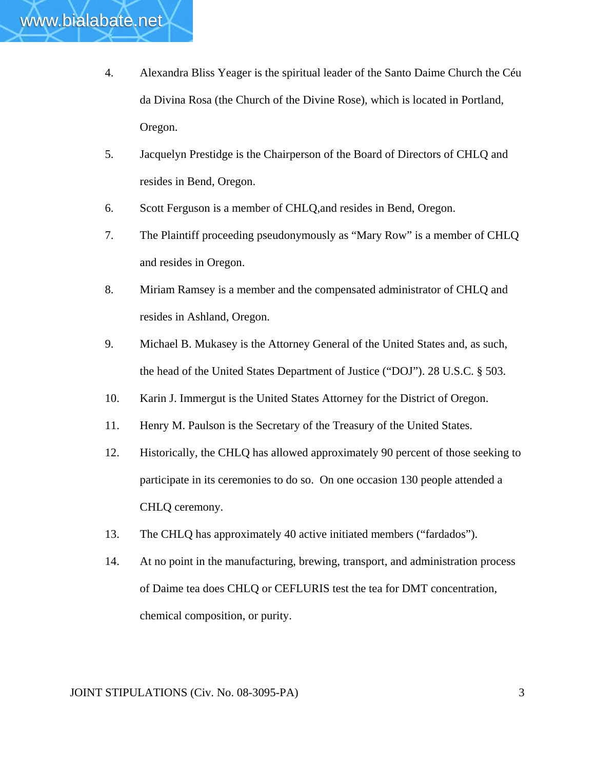- 4. Alexandra Bliss Yeager is the spiritual leader of the Santo Daime Church the Céu da Divina Rosa (the Church of the Divine Rose), which is located in Portland, Oregon.
- 5. Jacquelyn Prestidge is the Chairperson of the Board of Directors of CHLQ and resides in Bend, Oregon.
- 6. Scott Ferguson is a member of CHLQ,and resides in Bend, Oregon.
- 7. The Plaintiff proceeding pseudonymously as "Mary Row" is a member of CHLQ and resides in Oregon.
- 8. Miriam Ramsey is a member and the compensated administrator of CHLQ and resides in Ashland, Oregon.
- 9. Michael B. Mukasey is the Attorney General of the United States and, as such, the head of the United States Department of Justice ("DOJ"). 28 U.S.C. § 503.
- 10. Karin J. Immergut is the United States Attorney for the District of Oregon.
- 11. Henry M. Paulson is the Secretary of the Treasury of the United States.
- 12. Historically, the CHLQ has allowed approximately 90 percent of those seeking to participate in its ceremonies to do so. On one occasion 130 people attended a CHLQ ceremony.
- 13. The CHLQ has approximately 40 active initiated members ("fardados").
- 14. At no point in the manufacturing, brewing, transport, and administration process of Daime tea does CHLQ or CEFLURIS test the tea for DMT concentration, chemical composition, or purity.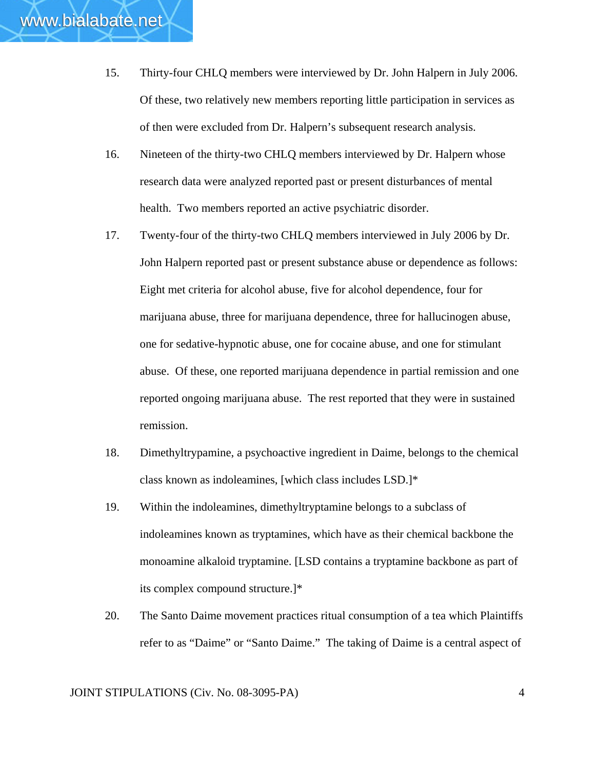- 16. Nineteen of the thirty-two CHLQ members interviewed by Dr. Halpern whose research data were analyzed reported past or present disturbances of mental health. Two members reported an active psychiatric disorder.
- 17. Twenty-four of the thirty-two CHLQ members interviewed in July 2006 by Dr. John Halpern reported past or present substance abuse or dependence as follows: Eight met criteria for alcohol abuse, five for alcohol dependence, four for marijuana abuse, three for marijuana dependence, three for hallucinogen abuse, one for sedative-hypnotic abuse, one for cocaine abuse, and one for stimulant abuse. Of these, one reported marijuana dependence in partial remission and one reported ongoing marijuana abuse. The rest reported that they were in sustained remission.
- 18. Dimethyltrypamine, a psychoactive ingredient in Daime, belongs to the chemical class known as indoleamines, [which class includes LSD.]\*
- 19. Within the indoleamines, dimethyltryptamine belongs to a subclass of indoleamines known as tryptamines, which have as their chemical backbone the monoamine alkaloid tryptamine. [LSD contains a tryptamine backbone as part of its complex compound structure.]\*
- 20. The Santo Daime movement practices ritual consumption of a tea which Plaintiffs refer to as "Daime" or "Santo Daime." The taking of Daime is a central aspect of

www.bialabate.net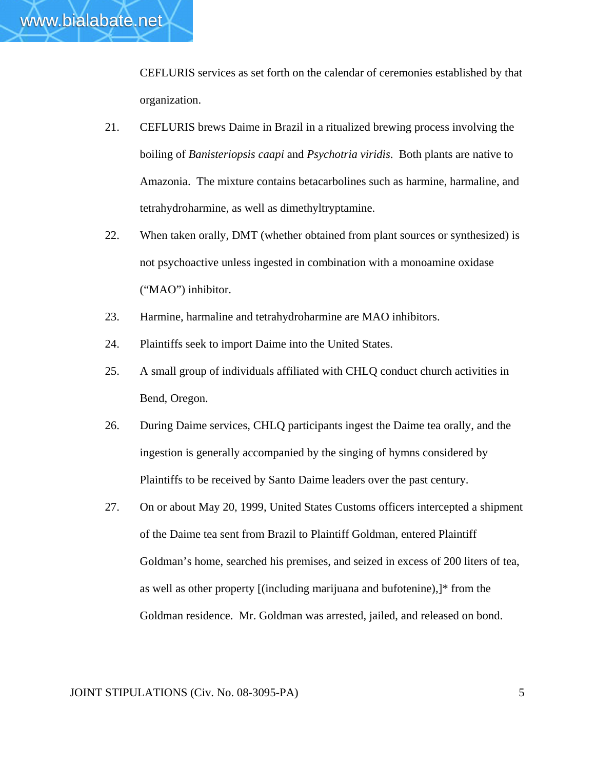

CEFLURIS services as set forth on the calendar of ceremonies established by that organization.

- 21. CEFLURIS brews Daime in Brazil in a ritualized brewing process involving the boiling of *Banisteriopsis caapi* and *Psychotria viridis*. Both plants are native to Amazonia. The mixture contains betacarbolines such as harmine, harmaline, and tetrahydroharmine, as well as dimethyltryptamine.
- 22. When taken orally, DMT (whether obtained from plant sources or synthesized) is not psychoactive unless ingested in combination with a monoamine oxidase ("MAO") inhibitor.
- 23. Harmine, harmaline and tetrahydroharmine are MAO inhibitors.
- 24. Plaintiffs seek to import Daime into the United States.
- 25. A small group of individuals affiliated with CHLQ conduct church activities in Bend, Oregon.
- 26. During Daime services, CHLQ participants ingest the Daime tea orally, and the ingestion is generally accompanied by the singing of hymns considered by Plaintiffs to be received by Santo Daime leaders over the past century.
- 27. On or about May 20, 1999, United States Customs officers intercepted a shipment of the Daime tea sent from Brazil to Plaintiff Goldman, entered Plaintiff Goldman's home, searched his premises, and seized in excess of 200 liters of tea, as well as other property [(including marijuana and bufotenine),]\* from the Goldman residence. Mr. Goldman was arrested, jailed, and released on bond.